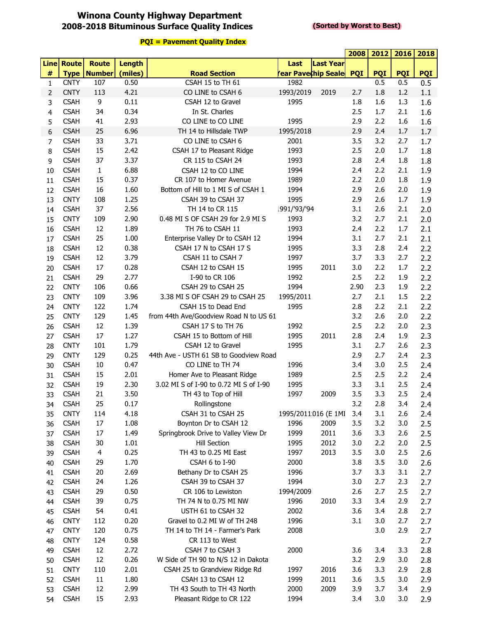#### **Winona County Highway Department 2008-2018 Bituminous Surface Quality Indices**

#### **(Sorted by Worst to Best)**

|                |             |               |         |                                        |                     |                  | 2008       | 2012       | 2016       | 2018       |
|----------------|-------------|---------------|---------|----------------------------------------|---------------------|------------------|------------|------------|------------|------------|
|                | Line Route  | <b>Route</b>  | Length  |                                        | Last                | <b>Last Year</b> |            |            |            |            |
| $\#$           | <b>Type</b> | <b>Number</b> | (miles) | <b>Road Section</b>                    | rear Pave¢hip Seale |                  | <b>PQI</b> | <b>PQI</b> | <b>PQI</b> | <b>PQI</b> |
| $\mathbf{1}$   | <b>CNTY</b> | 107           | 0.50    | CSAH 15 to TH 61                       | 1982                |                  |            | 0.5        | 0.5        | 0.5        |
| 2              | <b>CNTY</b> | 113           | 4.21    | CO LINE to CSAH 6                      | 1993/2019           | 2019             | 2.7        | 1.8        | 1.2        | 1.1        |
| 3              | <b>CSAH</b> | 9             | 0.11    | CSAH 12 to Gravel                      | 1995                |                  | 1.8        | 1.6        | 1.3        | 1.6        |
| 4              | <b>CSAH</b> | 34            | 0.34    | In St. Charles                         |                     |                  | 2.5        | 1.7        | 2.1        | 1.6        |
| 5              | <b>CSAH</b> | 41            | 2.93    | CO LINE to CO LINE                     | 1995                |                  | 2.9        | 2.2        | 1.6        | 1.6        |
| 6              | <b>CSAH</b> | 25            | 6.96    | TH 14 to Hillsdale TWP                 | 1995/2018           |                  | 2.9        | 2.4        | 1.7        | 1.7        |
| $\overline{7}$ | <b>CSAH</b> | 33            | 3.71    | CO LINE to CSAH 6                      | 2001                |                  | 3.5        | 3.2        | 2.7        | 1.7        |
| 8              | <b>CSAH</b> | 15            | 2.42    | CSAH 17 to Pleasant Ridge              | 1993                |                  | 2.5        | 2.0        | 1.7        | 1.8        |
| 9              | <b>CSAH</b> | 37            | 3.37    | CR 115 to CSAH 24                      | 1993                |                  | 2.8        | 2.4        | 1.8        | 1.8        |
| 10             | <b>CSAH</b> | $\mathbf{1}$  | 6.88    | CSAH 12 to CO LINE                     | 1994                |                  | 2.4        | 2.2        | 2.1        | 1.9        |
| 11             | <b>CSAH</b> | 15            | 0.37    | CR 107 to Homer Avenue                 | 1989                |                  | 2.2        | 2.0        | 1.8        | 1.9        |
| 12             | <b>CSAH</b> | 16            | 1.60    | Bottom of Hill to 1 MI S of CSAH 1     | 1994                |                  | 2.9        | 2.6        | 2.0        | 1.9        |
| 13             | <b>CNTY</b> | 108           | 1.25    | CSAH 39 to CSAH 37                     | 1995                |                  | 2.9        | 2.6        | 1.7        | 1.9        |
| 14             | <b>CSAH</b> | 37            | 2.56    | TH 14 to CR 115                        | 1991/'93/'94        |                  | 3.1        | 2.6        | 2.1        | 2.0        |
| 15             | <b>CNTY</b> | 109           | 2.90    | 0.48 MI S OF CSAH 29 for 2.9 MI S      | 1993                |                  | 3.2        | 2.7        | 2.1        | 2.0        |
| 16             | <b>CSAH</b> | 12            | 1.89    | TH 76 to CSAH 11                       | 1993                |                  | 2.4        | 2.2        | 1.7        | 2.1        |
| 17             | <b>CSAH</b> | 25            | 1.00    | Enterprise Valley Dr to CSAH 12        | 1994                |                  | 3.1        | 2.7        | 2.1        | 2.1        |
| 18             | <b>CSAH</b> | 12            | 0.38    | CSAH 17 N to CSAH 17 S                 | 1995                |                  | 3.3        | 2.8        | 2.4        | 2.2        |
| 19             | <b>CSAH</b> | 12            | 3.79    | CSAH 11 to CSAH 7                      | 1997                |                  | 3.7        | 3.3        | 2.7        | 2.2        |
| 20             | <b>CSAH</b> | 17            | 0.28    | CSAH 12 to CSAH 15                     | 1995                | 2011             | 3.0        | 2.2        | 1.7        | 2.2        |
| 21             | <b>CSAH</b> | 29            | 2.77    | I-90 to CR 106                         | 1992                |                  | 2.5        | 2.2        | 1.9        | 2.2        |
| 22             | <b>CNTY</b> | 106           | 0.66    | CSAH 29 to CSAH 25                     | 1994                |                  | 2.90       | 2.3        | 1.9        | 2.2        |
| 23             | <b>CNTY</b> | 109           | 3.96    | 3.38 MI S OF CSAH 29 to CSAH 25        | 1995/2011           |                  | 2.7        | 2.1        | 1.5        | 2.2        |
| 24             | <b>CNTY</b> | 122           | 1.74    | CSAH 15 to Dead End                    | 1995                |                  | 2.8        | 2.2        | 2.1        | 2.2        |
| 25             | <b>CNTY</b> | 129           | 1.45    | from 44th Ave/Goodview Road N to US 61 |                     |                  | 3.2        | 2.6        | 2.0        | 2.2        |
| 26             | <b>CSAH</b> | 12            | 1.39    | CSAH 17 S to TH 76                     | 1992                |                  | 2.5        | 2.2        | 2.0        | 2.3        |
| 27             | <b>CSAH</b> | 17            | 1.27    | CSAH 15 to Bottom of Hill              | 1995                | 2011             | 2.8        | 2.4        | 1.9        | 2.3        |
| 28             | <b>CNTY</b> | 101           | 1.79    | CSAH 12 to Gravel                      | 1995                |                  | 3.1        | 2.7        | 2.6        | 2.3        |
| 29             | <b>CNTY</b> | 129           | 0.25    | 44th Ave - USTH 61 SB to Goodview Road |                     |                  | 2.9        | 2.7        | 2.4        | 2.3        |
| 30             | <b>CSAH</b> | 10            | 0.47    | CO LINE to TH 74                       | 1996                |                  | 3.4        | 3.0        | 2.5        | 2.4        |
| 31             | <b>CSAH</b> | 15            | 2.01    | Homer Ave to Pleasant Ridge            | 1989                |                  | 2.5        | 2.5        | 2.2        | 2.4        |
| 32             | <b>CSAH</b> | 19            | 2.30    | 3.02 MI S of I-90 to 0.72 MI S of I-90 | 1995                |                  | 3.3        | 3.1        | 2.5        | 2.4        |
| 33             | <b>CSAH</b> | 21            | 3.50    | TH 43 to Top of Hill                   | 1997                | 2009             | 3.5        | 3.3        | 2.5        | 2.4        |
| 34             | <b>CSAH</b> | 25            | 0.17    | Rollingstone                           |                     |                  | 3.2        | 2.8        | 3.4        | 2.4        |
| 35             | <b>CNTY</b> | 114           | 4.18    | CSAH 31 to CSAH 25                     | 1995/2011016 (E 1MI |                  | 3.4        | 3.1        | 2.6        | 2.4        |
| 36             | <b>CSAH</b> | 17            | 1.08    | Boynton Dr to CSAH 12                  | 1996                | 2009             | 3.5        | 3.2        | 3.0        | 2.5        |
| 37             | <b>CSAH</b> | 17            | 1.49    | Springbrook Drive to Valley View Dr    | 1999                | 2011             | 3.6        | 3.3        | 2.6        | 2.5        |
| 38             | <b>CSAH</b> | 30            | 1.01    | <b>Hill Section</b>                    | 1995                | 2012             | 3.0        | 2.2        | 2.0        | 2.5        |
| 39             | <b>CSAH</b> | 4             | 0.25    | TH 43 to 0.25 MI East                  | 1997                | 2013             | 3.5        | 3.0        | 2.5        | 2.6        |
| 40             | <b>CSAH</b> | 29            | 1.70    | CSAH 6 to I-90                         | 2000                |                  | 3.8        | 3.5        | 3.0        | 2.6        |
| 41             | <b>CSAH</b> | 20            | 2.69    | Bethany Dr to CSAH 25                  | 1996                |                  | 3.7        | 3.3        | 3.1        | 2.7        |
| 42             | <b>CSAH</b> | 24            | 1.26    | CSAH 39 to CSAH 37                     | 1994                |                  | 3.0        | 2.7        | 2.3        | 2.7        |
| 43             | <b>CSAH</b> | 29            | 0.50    | CR 106 to Lewiston                     | 1994/2009           |                  | 2.6        | 2.7        | 2.5        | 2.7        |
| 44             | <b>CSAH</b> | 39            | 0.75    | TH 74 N to 0.75 MI NW                  | 1996                | 2010             | 3.3        | 3.4        | 2.9        | 2.7        |
| 45             | <b>CSAH</b> | 54            | 0.41    | USTH 61 to CSAH 32                     | 2002                |                  | 3.6        | 3.4        | 2.8        | 2.7        |
| 46             | <b>CNTY</b> | 112           | 0.20    | Gravel to 0.2 MI W of TH 248           | 1996                |                  | 3.1        | 3.0        | 2.7        | 2.7        |
| 47             | <b>CNTY</b> | 120           | 0.75    | TH 14 to TH 14 - Farmer's Park         | 2008                |                  |            | 3.0        | 2.9        | 2.7        |
| 48             | <b>CNTY</b> | 124           | 0.58    | CR 113 to West                         |                     |                  |            |            |            | 2.7        |
| 49             | <b>CSAH</b> | 12            | 2.72    | CSAH 7 to CSAH 3                       | 2000                |                  | 3.6        | 3.4        | 3.3        | 2.8        |
| 50             | <b>CSAH</b> | 12            | 0.26    | W Side of TH 90 to N/S 12 in Dakota    |                     |                  | 3.2        | 2.9        | 3.0        | 2.8        |
| 51             | <b>CNTY</b> | 110           | 2.01    | CSAH 25 to Grandview Ridge Rd          | 1997                | 2016             | 3.6        | 3.3        | 2.9        | 2.8        |
| 52             | <b>CSAH</b> | 11            | 1.80    | CSAH 13 to CSAH 12                     | 1999                | 2011             | 3.6        | 3.5        | 3.0        | 2.9        |
| 53             | <b>CSAH</b> | 12            | 2.99    | TH 43 South to TH 43 North             | 2000                | 2009             | 3.9        | 3.7        | 3.4        | 2.9        |
| 54             | <b>CSAH</b> | 15            | 2.93    | Pleasant Ridge to CR 122               | 1994                |                  | 3.4        | 3.0        | 3.0        | 2.9        |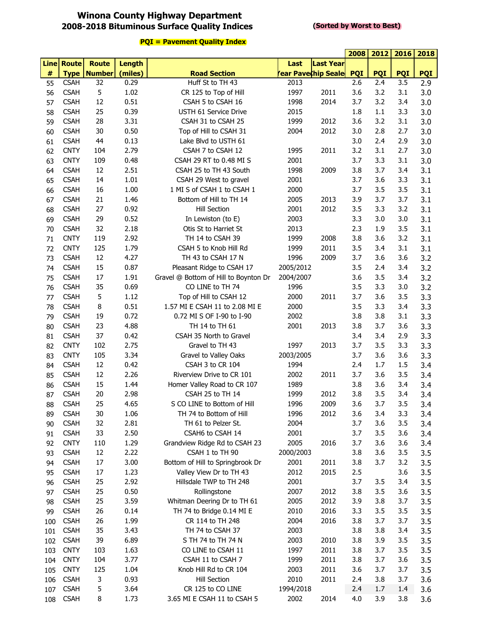## **Winona County Highway Department 2008-2018 Bituminous Surface Quality Indices**

#### **(Sorted by Worst to Best)**

|             |              |               |               |                                       |                           |                  | 2008       | 2012       | 2016       | 2018       |
|-------------|--------------|---------------|---------------|---------------------------------------|---------------------------|------------------|------------|------------|------------|------------|
| <b>Line</b> | <b>Route</b> | <b>Route</b>  | <b>Length</b> |                                       | Last                      | <b>Last Year</b> |            |            |            |            |
| $\#$        | <b>Type</b>  | <b>Number</b> | (miles)       | <b>Road Section</b>                   | <b>ear Pavechip Seale</b> |                  | <b>PQI</b> | <b>PQI</b> | <b>PQI</b> | <b>PQI</b> |
| 55          | <b>CSAH</b>  | 32            | 0.29          | Huff St to TH 43                      | 2013                      |                  | 2.6        | 2.4        | 3.5        | 2.9        |
| 56          | <b>CSAH</b>  | 5             | 1.02          | CR 125 to Top of Hill                 | 1997                      | 2011             | 3.6        | 3.2        | 3.1        | 3.0        |
| 57          | <b>CSAH</b>  | 12            | 0.51          | CSAH 5 to CSAH 16                     | 1998                      | 2014             | 3.7        | 3.2        | 3.4        | 3.0        |
| 58          | <b>CSAH</b>  | 25            | 0.39          | USTH 61 Service Drive                 | 2015                      |                  | 1.8        | 1.1        | 3.3        | 3.0        |
| 59          | <b>CSAH</b>  | 28            | 3.31          | CSAH 31 to CSAH 25                    | 1999                      | 2012             | 3.6        | 3.2        | 3.1        | 3.0        |
| 60          | <b>CSAH</b>  | 30            | 0.50          | Top of Hill to CSAH 31                | 2004                      | 2012             | 3.0        | 2.8        | 2.7        | 3.0        |
| 61          | <b>CSAH</b>  | 44            | 0.13          | Lake Blvd to USTH 61                  |                           |                  | 3.0        | 2.4        | 2.9        | 3.0        |
| 62          | <b>CNTY</b>  | 104           | 2.79          | CSAH 7 to CSAH 12                     | 1995                      | 2011             | 3.2        | 3.1        | 2.7        | 3.0        |
| 63          | <b>CNTY</b>  | 109           | 0.48          | CSAH 29 RT to 0.48 MI S               | 2001                      |                  | 3.7        | 3.3        | 3.1        | 3.0        |
| 64          | <b>CSAH</b>  | 12            | 2.51          | CSAH 25 to TH 43 South                | 1998                      | 2009             | 3.8        | 3.7        | 3.4        | 3.1        |
| 65          | <b>CSAH</b>  | 14            | 1.01          | CSAH 29 West to gravel                | 2001                      |                  | 3.7        | 3.6        | 3.3        | 3.1        |
| 66          | <b>CSAH</b>  | 16            | 1.00          | 1 MI S of CSAH 1 to CSAH 1            | 2000                      |                  | 3.7        | 3.5        | 3.5        | 3.1        |
| 67          | <b>CSAH</b>  | 21            | 1.46          | Bottom of Hill to TH 14               | 2005                      | 2013             | 3.9        | 3.7        | 3.7        | 3.1        |
| 68          | <b>CSAH</b>  | 27            | 0.92          | <b>Hill Section</b>                   | 2001                      | 2012             | 3.5        | 3.3        | 3.2        | 3.1        |
| 69          | <b>CSAH</b>  | 29            | 0.52          | In Lewiston (to E)                    | 2003                      |                  | 3.3        | 3.0        | 3.0        | 3.1        |
| 70          | <b>CSAH</b>  | 32            | 2.18          | Otis St to Harriet St                 | 2013                      |                  | 2.3        | 1.9        | 3.5        | 3.1        |
| 71          | <b>CNTY</b>  | 119           | 2.92          | TH 14 to CSAH 39                      | 1999                      | 2008             | 3.8        | 3.6        | 3.2        | 3.1        |
| 72          | <b>CNTY</b>  | 125           | 1.79          | CSAH 5 to Knob Hill Rd                | 1999                      | 2011             | 3.5        | 3.4        | 3.1        | 3.1        |
| 73          | <b>CSAH</b>  | 12            | 4.27          | TH 43 to CSAH 17 N                    | 1996                      | 2009             | 3.7        | 3.6        | 3.6        | 3.2        |
| 74          | <b>CSAH</b>  | 15            | 0.87          | Pleasant Ridge to CSAH 17             | 2005/2012                 |                  | 3.5        | 2.4        | 3.4        | 3.2        |
| 75          | <b>CSAH</b>  | 17            | 1.91          | Gravel @ Bottom of Hill to Boynton Dr | 2004/2007                 |                  | 3.6        | 3.5        | 3.4        | 3.2        |
| 76          | <b>CSAH</b>  | 35            | 0.69          | CO LINE to TH 74                      | 1996                      |                  | 3.5        | 3.3        | 3.0        | 3.2        |
| 77          | <b>CSAH</b>  | 5             | 1.12          | Top of Hill to CSAH 12                | 2000                      | 2011             | 3.7        | 3.6        | 3.5        | 3.3        |
| 78          | <b>CSAH</b>  | 8             | 0.51          | 1.57 MI E CSAH 11 to 2.08 MI E        | 2000                      |                  | 3.5        | 3.3        | 3.4        | 3.3        |
| 79          | <b>CSAH</b>  | 19            | 0.72          | 0.72 MI S OF I-90 to I-90             | 2002                      |                  | 3.8        | 3.8        | 3.1        | 3.3        |
| 80          | <b>CSAH</b>  | 23            | 4.88          | TH 14 to TH 61                        | 2001                      | 2013             | 3.8        | 3.7        | 3.6        | 3.3        |
| 81          | <b>CSAH</b>  | 37            | 0.42          | CSAH 35 North to Gravel               |                           |                  | 3.4        | 3.4        | 2.9        | 3.3        |
| 82          | <b>CNTY</b>  | 102           | 2.75          | Gravel to TH 43                       | 1997                      | 2013             | 3.7        | 3.5        | 3.3        | 3.3        |
| 83          | <b>CNTY</b>  | 105           | 3.34          | Gravel to Valley Oaks                 | 2003/2005                 |                  | 3.7        | 3.6        | 3.6        | 3.3        |
| 84          | <b>CSAH</b>  | 12            | 0.42          | CSAH 3 to CR 104                      | 1994                      |                  | 2.4        | 1.7        | 1.5        | 3.4        |
| 85          | <b>CSAH</b>  | 12            | 2.26          | Riverview Drive to CR 101             | 2002                      | 2011             | 3.7        | 3.6        | 3.5        | 3.4        |
| 86          | <b>CSAH</b>  | 15            | 1.44          | Homer Valley Road to CR 107           | 1989                      |                  | 3.8        | 3.6        | 3.4        | 3.4        |
| 87          | <b>CSAH</b>  | 20            | 2.98          | CSAH 25 to TH 14                      | 1999                      | 2012             | 3.8        | 3.5        | 3.4        | 3.4        |
| 88          | <b>CSAH</b>  | 25            | 4.65          | S CO LINE to Bottom of Hill           | 1996                      | 2009             | 3.6        | 3.7        | 3.5        | 3.4        |
| 89          | <b>CSAH</b>  | 30            | 1.06          | TH 74 to Bottom of Hill               | 1996                      | 2012             | 3.6        | 3.4        | 3.3        | 3.4        |
| 90          | <b>CSAH</b>  | 32            | 2.81          | TH 61 to Pelzer St.                   | 2004                      |                  | 3.7        | 3.6        | 3.5        | 3.4        |
| 91          | <b>CSAH</b>  | 33            | 2.50          | CSAH6 to CSAH 14                      | 2001                      |                  | 3.7        | 3.5        | 3.6        | 3.4        |
| 92          | <b>CNTY</b>  | 110           | 1.29          | Grandview Ridge Rd to CSAH 23         | 2005                      | 2016             | 3.7        | 3.6        | 3.6        | 3.4        |
| 93          | <b>CSAH</b>  | 12            | 2.22          | CSAH 1 to TH 90                       | 2000/2003                 |                  | 3.8        | 3.6        | 3.5        | 3.5        |
| 94          | <b>CSAH</b>  | 17            | 3.00          | Bottom of Hill to Springbrook Dr      | 2001                      | 2011             | 3.8        | 3.7        | 3.2        | 3.5        |
| 95          | <b>CSAH</b>  | 17            | 1.23          | Valley View Dr to TH 43               | 2012                      | 2015             | 2.5        |            | 3.6        | 3.5        |
| 96          | <b>CSAH</b>  | 25            | 2.92          | Hillsdale TWP to TH 248               | 2001                      |                  | 3.7        | 3.5        | 3.4        | 3.5        |
| 97          | <b>CSAH</b>  | 25            | 0.50          | Rollingstone                          | 2007                      | 2012             | 3.8        | 3.5        | 3.6        | 3.5        |
| 98          | <b>CSAH</b>  | 25            | 3.59          | Whitman Deering Dr to TH 61           | 2005                      | 2012             | 3.9        | 3.8        | 3.7        | 3.5        |
| 99          | <b>CSAH</b>  | 26            | 0.14          | TH 74 to Bridge 0.14 MI E             | 2010                      | 2016             | 3.3        | 3.5        | 3.5        | 3.5        |
| 100         | <b>CSAH</b>  | 26            | 1.99          | CR 114 to TH 248                      | 2004                      | 2016             | 3.8        | 3.7        | 3.7        | 3.5        |
| 101         | <b>CSAH</b>  | 35            | 3.43          | TH 74 to CSAH 37                      | 2003                      |                  | 3.8        | 3.8        | 3.4        | 3.5        |
| 102         | <b>CSAH</b>  | 39            | 6.89          | S TH 74 to TH 74 N                    | 2003                      | 2010             | 3.8        | 3.9        | 3.5        | 3.5        |
|             | <b>CNTY</b>  | 103           | 1.63          | CO LINE to CSAH 11                    | 1997                      | 2011             | 3.8        | 3.7        | 3.5        | 3.5        |
| 103         | <b>CNTY</b>  | 104           | 3.77          | CSAH 11 to CSAH 7                     | 1999                      | 2011             | 3.8        | 3.7        | 3.6        | 3.5        |
| 104         | <b>CNTY</b>  | 125           | 1.04          | Knob Hill Rd to CR 104                | 2003                      | 2011             | 3.6        | 3.7        | 3.7        | 3.5        |
| 105         | <b>CSAH</b>  | 3             | 0.93          | <b>Hill Section</b>                   | 2010                      | 2011             | 2.4        | 3.8        | 3.7        |            |
| 106         | <b>CSAH</b>  | 5             | 3.64          | CR 125 to CO LINE                     | 1994/2018                 |                  | 2.4        | 1.7        | 1.4        | 3.6        |
| 107         | <b>CSAH</b>  | 8             | 1.73          | 3.65 MI E CSAH 11 to CSAH 5           | 2002                      | 2014             | 4.0        | 3.9        | 3.8        | 3.6<br>3.6 |
| 108         |              |               |               |                                       |                           |                  |            |            |            |            |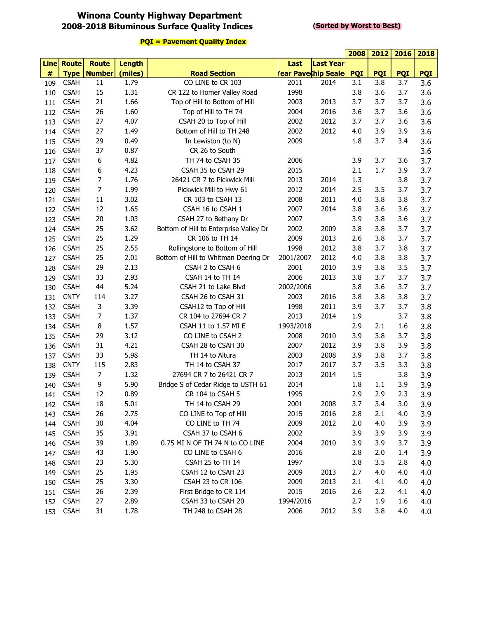# **Winona County Highway Department 2008-2018 Bituminous Surface Quality Indices**

#### **(Sorted by Worst to Best)**

|     |                   |                      |               |                                        |           |                    | 2008       | 2012       | 2016       | 2018       |
|-----|-------------------|----------------------|---------------|----------------------------------------|-----------|--------------------|------------|------------|------------|------------|
|     | <b>Line Route</b> | <b>Route</b>         | <b>Length</b> |                                        | Last      | Last Year          |            |            |            |            |
| #   |                   | <b>Type   Number</b> | (miles)       | <b>Road Section</b>                    |           | ear Pavechip Seale | <b>PQI</b> | <b>PQI</b> | <b>PQI</b> | <b>PQI</b> |
| 109 | <b>CSAH</b>       | 11                   | 1.79          | CO LINE to CR 103                      | 2011      | 2014               | 3.1        | 3.8        | 3.7        | 3.6        |
| 110 | <b>CSAH</b>       | 15                   | 1.31          | CR 122 to Homer Valley Road            | 1998      |                    | 3.8        | 3.6        | 3.7        | 3.6        |
| 111 | <b>CSAH</b>       | 21                   | 1.66          | Top of Hill to Bottom of Hill          | 2003      | 2013               | 3.7        | 3.7        | 3.7        | 3.6        |
| 112 | <b>CSAH</b>       | 26                   | 1.60          | Top of Hill to TH 74                   | 2004      | 2016               | 3.6        | 3.7        | 3.6        | 3.6        |
| 113 | <b>CSAH</b>       | 27                   | 4.07          | CSAH 20 to Top of Hill                 | 2002      | 2012               | 3.7        | 3.7        | 3.6        | 3.6        |
| 114 | <b>CSAH</b>       | 27                   | 1.49          | Bottom of Hill to TH 248               | 2002      | 2012               | 4.0        | 3.9        | 3.9        | 3.6        |
| 115 | <b>CSAH</b>       | 29                   | 0.49          | In Lewiston (to N)                     | 2009      |                    | 1.8        | 3.7        | 3.4        | 3.6        |
| 116 | <b>CSAH</b>       | 37                   | 0.87          | CR 26 to South                         |           |                    |            |            |            | 3.6        |
| 117 | <b>CSAH</b>       | 6                    | 4.82          | TH 74 to CSAH 35                       | 2006      |                    | 3.9        | 3.7        | 3.6        | 3.7        |
| 118 | <b>CSAH</b>       | 6                    | 4.23          | CSAH 35 to CSAH 29                     | 2015      |                    | 2.1        | 1.7        | 3.9        | 3.7        |
| 119 | <b>CSAH</b>       | 7                    | 1.76          | 26421 CR 7 to Pickwick Mill            | 2013      | 2014               | 1.3        |            | 3.8        | 3.7        |
| 120 | <b>CSAH</b>       | $\overline{7}$       | 1.99          | Pickwick Mill to Hwy 61                | 2012      | 2014               | 2.5        | 3.5        | 3.7        | 3.7        |
| 121 | <b>CSAH</b>       | 11                   | 3.02          | CR 103 to CSAH 13                      | 2008      | 2011               | 4.0        | 3.8        | 3.8        | 3.7        |
| 122 | <b>CSAH</b>       | 12                   | 1.65          | CSAH 16 to CSAH 1                      | 2007      | 2014               | 3.8        | 3.6        | 3.6        | 3.7        |
| 123 | <b>CSAH</b>       | 20                   | 1.03          | CSAH 27 to Bethany Dr                  | 2007      |                    | 3.9        | 3.8        | 3.6        | 3.7        |
| 124 | <b>CSAH</b>       | 25                   | 3.62          | Bottom of Hill to Enterprise Valley Dr | 2002      | 2009               | 3.8        | 3.8        | 3.7        | 3.7        |
| 125 | <b>CSAH</b>       | 25                   | 1.29          | CR 106 to TH 14                        | 2009      | 2013               | 2.6        | 3.8        | 3.7        | 3.7        |
| 126 | <b>CSAH</b>       | 25                   | 2.55          | Rollingstone to Bottom of Hill         | 1998      | 2012               | 3.8        | 3.7        | 3.8        | 3.7        |
| 127 | <b>CSAH</b>       | 25                   | 2.01          | Bottom of Hill to Whitman Deering Dr   | 2001/2007 | 2012               | 4.0        | 3.8        | 3.8        | 3.7        |
| 128 | <b>CSAH</b>       | 29                   | 2.13          | CSAH 2 to CSAH 6                       | 2001      | 2010               | 3.9        | 3.8        | 3.5        | 3.7        |
| 129 | <b>CSAH</b>       | 33                   | 2.93          | CSAH 14 to TH 14                       | 2006      | 2013               | 3.8        | 3.7        | 3.7        | 3.7        |
| 130 | <b>CSAH</b>       | 44                   | 5.24          | CSAH 21 to Lake Blvd                   | 2002/2006 |                    | 3.8        | 3.6        | 3.7        | 3.7        |
| 131 | <b>CNTY</b>       | 114                  | 3.27          | CSAH 26 to CSAH 31                     | 2003      | 2016               | 3.8        | 3.8        | 3.8        | 3.7        |
| 132 | <b>CSAH</b>       | 3                    | 3.39          | CSAH12 to Top of Hill                  | 1998      | 2011               | 3.9        | 3.7        | 3.7        | 3.8        |
| 133 | <b>CSAH</b>       | $\overline{7}$       | 1.37          | CR 104 to 27694 CR 7                   | 2013      | 2014               | 1.9        |            | 3.7        | 3.8        |
| 134 | <b>CSAH</b>       | 8                    | 1.57          | CSAH 11 to 1.57 MI E                   | 1993/2018 |                    | 2.9        | 2.1        | 1.6        | 3.8        |
| 135 | <b>CSAH</b>       | 29                   | 3.12          | CO LINE to CSAH 2                      | 2008      | 2010               | 3.9        | 3.8        | 3.7        | 3.8        |
| 136 | <b>CSAH</b>       | 31                   | 4.21          | CSAH 28 to CSAH 30                     | 2007      | 2012               | 3.9        | 3.8        | 3.9        | 3.8        |
| 137 | <b>CSAH</b>       | 33                   | 5.98          | TH 14 to Altura                        | 2003      | 2008               | 3.9        | 3.8        | 3.7        | 3.8        |
| 138 | <b>CNTY</b>       | 115                  | 2.83          | TH 14 to CSAH 37                       | 2017      | 2017               | 3.7        | 3.5        | 3.3        | 3.8        |
| 139 | <b>CSAH</b>       | $\overline{7}$       | 1.32          | 27694 CR 7 to 26421 CR 7               | 2013      | 2014               | 1.5        |            | 3.8        | 3.9        |
| 140 | <b>CSAH</b>       | 9                    | 5.90          | Bridge S of Cedar Ridge to USTH 61     | 2014      |                    | 1.8        | 1.1        | 3.9        | 3.9        |
| 141 | <b>CSAH</b>       | 12                   | 0.89          | CR 104 to CSAH 5                       | 1995      |                    | 2.9        | 2.9        | 2.3        | 3.9        |
| 142 | <b>CSAH</b>       | 18                   | 5.01          | TH 14 to CSAH 29                       | 2001      | 2008               | 3.7        | 3.4        | 3.0        | 3.9        |
| 143 | <b>CSAH</b>       | 26                   | 2.75          | CO LINE to Top of Hill                 | 2015      | 2016               | 2.8        | 2.1        | 4.0        | 3.9        |
| 144 | <b>CSAH</b>       | 30                   | 4.04          | CO LINE to TH 74                       | 2009      | 2012               | 2.0        | 4.0        | 3.9        | 3.9        |
| 145 | <b>CSAH</b>       | 35                   | 3.91          | CSAH 37 to CSAH 6                      | 2002      |                    | 3.9        | 3.9        | 3.9        | 3.9        |
| 146 | <b>CSAH</b>       | 39                   | 1.89          | 0.75 MI N OF TH 74 N to CO LINE        | 2004      | 2010               | 3.9        | 3.9        | 3.7        | 3.9        |
| 147 | <b>CSAH</b>       | 43                   | 1.90          | CO LINE to CSAH 6                      | 2016      |                    | 2.8        | 2.0        | 1.4        | 3.9        |
| 148 | <b>CSAH</b>       | 23                   | 5.30          | CSAH 25 to TH 14                       | 1997      |                    | 3.8        | 3.5        | 2.8        | 4.0        |
| 149 | <b>CSAH</b>       | 25                   | 1.95          | CSAH 12 to CSAH 23                     | 2009      | 2013               | 2.7        | 4.0        | 4.0        | 4.0        |
| 150 | <b>CSAH</b>       | 25                   | 3.30          | CSAH 23 to CR 106                      | 2009      | 2013               | 2.1        | 4.1        | 4.0        | 4.0        |
| 151 | <b>CSAH</b>       | 26                   | 2.39          | First Bridge to CR 114                 | 2015      | 2016               | 2.6        | 2.2        | 4.1        | 4.0        |
| 152 | <b>CSAH</b>       | 27                   | 2.89          | CSAH 33 to CSAH 20                     | 1994/2016 |                    | 2.7        | 1.9        | 1.6        | 4.0        |
| 153 | <b>CSAH</b>       | 31                   | 1.78          | TH 248 to CSAH 28                      | 2006      | 2012               | 3.9        | 3.8        | 4.0        | 4.0        |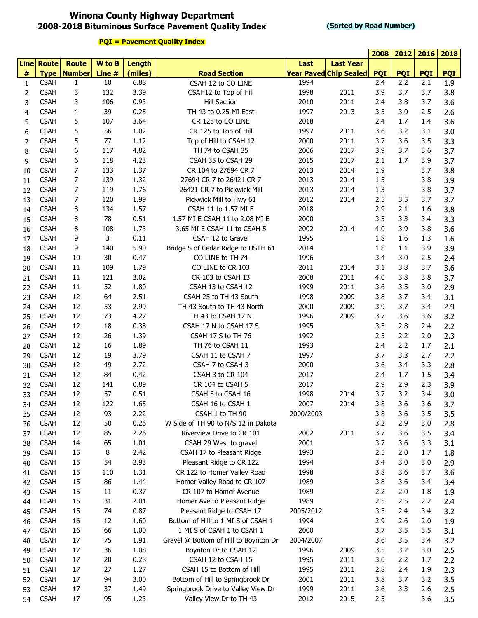## **Winona County Highway Department 2008-2018 Bituminous Surface Pavement Quality Index**

#### **(Sorted by Road Number)**

|                |                   |                |        |               |                                       |           |                               | 2008       | 2012       | 2016       | 2018       |
|----------------|-------------------|----------------|--------|---------------|---------------------------------------|-----------|-------------------------------|------------|------------|------------|------------|
|                | <b>Line Route</b> | <b>Route</b>   | W to B | <b>Length</b> |                                       | Last      | <b>Last Year</b>              |            |            |            |            |
| $\#$           | <b>Type</b>       | <b>Number</b>  | Line # | (miles)       | <b>Road Section</b>                   |           | <b>Year Paved Chip Sealed</b> | <b>PQI</b> | <b>PQI</b> | <b>PQI</b> | <b>PQI</b> |
| 1              | <b>CSAH</b>       | $\mathbf{1}$   | 10     | 6.88          | CSAH 12 to CO LINE                    | 1994      |                               | 2.4        | 2.2        | 2.1        | 1.9        |
| 2              | <b>CSAH</b>       | 3              | 132    | 3.39          | CSAH12 to Top of Hill                 | 1998      | 2011                          | 3.9        | 3.7        | 3.7        | 3.8        |
| 3              | <b>CSAH</b>       | 3              | 106    | 0.93          | <b>Hill Section</b>                   | 2010      | 2011                          | 2.4        | 3.8        | 3.7        | 3.6        |
| 4              | <b>CSAH</b>       | 4              | 39     | 0.25          | TH 43 to 0.25 MI East                 | 1997      | 2013                          | 3.5        | 3.0        | 2.5        | 2.6        |
| 5              | <b>CSAH</b>       | 5              | 107    | 3.64          | CR 125 to CO LINE                     | 2018      |                               | 2.4        | 1.7        | 1.4        | 3.6        |
| 6              | <b>CSAH</b>       | 5              | 56     | 1.02          | CR 125 to Top of Hill                 | 1997      | 2011                          | 3.6        | 3.2        | 3.1        | 3.0        |
| $\overline{7}$ | <b>CSAH</b>       | 5              | 77     | 1.12          | Top of Hill to CSAH 12                | 2000      | 2011                          | 3.7        | 3.6        | 3.5        | 3.3        |
| 8              | <b>CSAH</b>       | 6              | 117    | 4.82          | TH 74 to CSAH 35                      | 2006      | 2017                          | 3.9        | 3.7        | 3.6        | 3.7        |
| 9              | <b>CSAH</b>       | 6              | 118    | 4.23          | CSAH 35 to CSAH 29                    | 2015      | 2017                          | 2.1        | 1.7        | 3.9        | 3.7        |
| 10             | <b>CSAH</b>       | $\overline{7}$ | 133    | 1.37          | CR 104 to 27694 CR 7                  | 2013      | 2014                          | 1.9        |            | 3.7        | 3.8        |
| 11             | <b>CSAH</b>       | $\overline{7}$ | 139    | 1.32          | 27694 CR 7 to 26421 CR 7              | 2013      | 2014                          | 1.5        |            | 3.8        | 3.9        |
| 12             | <b>CSAH</b>       | $\overline{7}$ | 119    | 1.76          | 26421 CR 7 to Pickwick Mill           | 2013      | 2014                          | 1.3        |            | 3.8        | 3.7        |
| 13             | <b>CSAH</b>       | 7              | 120    | 1.99          | Pickwick Mill to Hwy 61               | 2012      | 2014                          | 2.5        | 3.5        | 3.7        | 3.7        |
|                | <b>CSAH</b>       | 8              | 134    | 1.57          | CSAH 11 to 1.57 MI E                  | 2018      |                               | 2.9        | 2.1        | 1.6        | 3.8        |
| 14             | <b>CSAH</b>       | 8              | 78     | 0.51          | 1.57 MI E CSAH 11 to 2.08 MI E        | 2000      |                               | 3.5        | 3.3        | 3.4        | 3.3        |
| 15             | <b>CSAH</b>       |                | 108    | 1.73          | 3.65 MI E CSAH 11 to CSAH 5           |           |                               |            | 3.9        | 3.8        |            |
| 16             |                   | 8              |        |               |                                       | 2002      | 2014                          | 4.0        |            |            | 3.6        |
| 17             | <b>CSAH</b>       | 9              | 3      | 0.11          | CSAH 12 to Gravel                     | 1995      |                               | 1.8        | 1.6        | 1.3        | 1.6        |
| 18             | <b>CSAH</b>       | 9              | 140    | 5.90          | Bridge S of Cedar Ridge to USTH 61    | 2014      |                               | 1.8        | 1.1        | 3.9        | 3.9        |
| 19             | <b>CSAH</b>       | 10             | 30     | 0.47          | CO LINE to TH 74                      | 1996      |                               | 3.4        | 3.0        | 2.5        | 2.4        |
| 20             | <b>CSAH</b>       | 11             | 109    | 1.79          | CO LINE to CR 103                     | 2011      | 2014                          | 3.1        | 3.8        | 3.7        | 3.6        |
| 21             | <b>CSAH</b>       | 11             | 121    | 3.02          | CR 103 to CSAH 13                     | 2008      | 2011                          | 4.0        | 3.8        | 3.8        | 3.7        |
| 22             | <b>CSAH</b>       | 11             | 52     | 1.80          | CSAH 13 to CSAH 12                    | 1999      | 2011                          | 3.6        | 3.5        | 3.0        | 2.9        |
| 23             | <b>CSAH</b>       | 12             | 64     | 2.51          | CSAH 25 to TH 43 South                | 1998      | 2009                          | 3.8        | 3.7        | 3.4        | 3.1        |
| 24             | <b>CSAH</b>       | 12             | 53     | 2.99          | TH 43 South to TH 43 North            | 2000      | 2009                          | 3.9        | 3.7        | 3.4        | 2.9        |
| 25             | <b>CSAH</b>       | 12             | 73     | 4.27          | TH 43 to CSAH 17 N                    | 1996      | 2009                          | 3.7        | 3.6        | 3.6        | 3.2        |
| 26             | <b>CSAH</b>       | 12             | 18     | 0.38          | CSAH 17 N to CSAH 17 S                | 1995      |                               | 3.3        | 2.8        | 2.4        | 2.2        |
| 27             | <b>CSAH</b>       | 12             | 26     | 1.39          | CSAH 17 S to TH 76                    | 1992      |                               | 2.5        | 2.2        | 2.0        | 2.3        |
| 28             | <b>CSAH</b>       | 12             | 16     | 1.89          | TH 76 to CSAH 11                      | 1993      |                               | 2.4        | 2.2        | 1.7        | 2.1        |
| 29             | <b>CSAH</b>       | 12             | 19     | 3.79          | CSAH 11 to CSAH 7                     | 1997      |                               | 3.7        | 3.3        | 2.7        | 2.2        |
| 30             | <b>CSAH</b>       | 12             | 49     | 2.72          | CSAH 7 to CSAH 3                      | 2000      |                               | 3.6        | 3.4        | 3.3        | 2.8        |
| 31             | <b>CSAH</b>       | 12             | 84     | 0.42          | CSAH 3 to CR 104                      | 2017      |                               | 2.4        | 1.7        | 1.5        | 3.4        |
| 32             | <b>CSAH</b>       | 12             | 141    | 0.89          | CR 104 to CSAH 5                      | 2017      |                               | 2.9        | 2.9        | 2.3        | 3.9        |
| 33             | <b>CSAH</b>       | 12             | 57     | 0.51          | CSAH 5 to CSAH 16                     | 1998      | 2014                          | 3.7        | 3.2        | 3.4        | 3.0        |
| 34             | <b>CSAH</b>       | 12             | 122    | 1.65          | CSAH 16 to CSAH 1                     | 2007      | 2014                          | 3.8        | 3.6        | 3.6        | 3.7        |
| 35             | <b>CSAH</b>       | 12             | 93     | 2.22          | CSAH 1 to TH 90                       | 2000/2003 |                               | 3.8        | 3.6        | 3.5        | 3.5        |
| 36             | <b>CSAH</b>       | 12             | 50     | 0.26          | W Side of TH 90 to N/S 12 in Dakota   |           |                               | 3.2        | 2.9        | 3.0        | 2.8        |
| 37             | <b>CSAH</b>       | 12             | 85     | 2.26          | Riverview Drive to CR 101             | 2002      | 2011                          | 3.7        | 3.6        | 3.5        | 3.4        |
| 38             | <b>CSAH</b>       | 14             | 65     | 1.01          | CSAH 29 West to gravel                | 2001      |                               | 3.7        | 3.6        | 3.3        | 3.1        |
| 39             | <b>CSAH</b>       | 15             | 8      | 2.42          | CSAH 17 to Pleasant Ridge             | 1993      |                               | 2.5        | 2.0        | 1.7        | 1.8        |
| 40             | <b>CSAH</b>       | 15             | 54     | 2.93          | Pleasant Ridge to CR 122              | 1994      |                               | 3.4        | 3.0        | 3.0        | 2.9        |
| 41             | <b>CSAH</b>       | 15             | 110    | 1.31          | CR 122 to Homer Valley Road           | 1998      |                               | 3.8        | 3.6        | 3.7        | 3.6        |
| 42             | <b>CSAH</b>       | 15             | 86     | 1.44          | Homer Valley Road to CR 107           | 1989      |                               | 3.8        | 3.6        | 3.4        | 3.4        |
| 43             | <b>CSAH</b>       | 15             | 11     | 0.37          | CR 107 to Homer Avenue                | 1989      |                               | 2.2        | 2.0        | 1.8        | 1.9        |
| 44             | <b>CSAH</b>       | 15             | 31     | 2.01          | Homer Ave to Pleasant Ridge           | 1989      |                               | 2.5        | 2.5        | 2.2        | 2.4        |
|                | <b>CSAH</b>       | 15             | 74     | 0.87          | Pleasant Ridge to CSAH 17             | 2005/2012 |                               | 3.5        | 2.4        | 3.4        | 3.2        |
| 45             | <b>CSAH</b>       | 16             | 12     | 1.60          | Bottom of Hill to 1 MI S of CSAH 1    | 1994      |                               | 2.9        | 2.6        | 2.0        |            |
| 46             | <b>CSAH</b>       | 16             | 66     | 1.00          | 1 MI S of CSAH 1 to CSAH 1            | 2000      |                               | 3.7        | 3.5        | 3.5        | 1.9        |
| 47             |                   |                |        |               |                                       |           |                               |            |            |            | 3.1        |
| 48             | <b>CSAH</b>       | 17             | 75     | 1.91          | Gravel @ Bottom of Hill to Boynton Dr | 2004/2007 |                               | 3.6        | 3.5        | 3.4        | 3.2        |
| 49             | <b>CSAH</b>       | 17             | 36     | 1.08          | Boynton Dr to CSAH 12                 | 1996      | 2009                          | 3.5        | 3.2        | 3.0        | 2.5        |
| 50             | <b>CSAH</b>       | 17             | 20     | 0.28          | CSAH 12 to CSAH 15                    | 1995      | 2011                          | 3.0        | 2.2        | 1.7        | 2.2        |
| 51             | <b>CSAH</b>       | 17             | 27     | 1.27          | CSAH 15 to Bottom of Hill             | 1995      | 2011                          | 2.8        | 2.4        | 1.9        | 2.3        |
| 52             | <b>CSAH</b>       | 17             | 94     | 3.00          | Bottom of Hill to Springbrook Dr      | 2001      | 2011                          | 3.8        | 3.7        | 3.2        | 3.5        |
| 53             | <b>CSAH</b>       | 17             | 37     | 1.49          | Springbrook Drive to Valley View Dr   | 1999      | 2011                          | 3.6        | 3.3        | 2.6        | 2.5        |
| 54             | <b>CSAH</b>       | 17             | 95     | 1.23          | Valley View Dr to TH 43               | 2012      | 2015                          | 2.5        |            | 3.6        | 3.5        |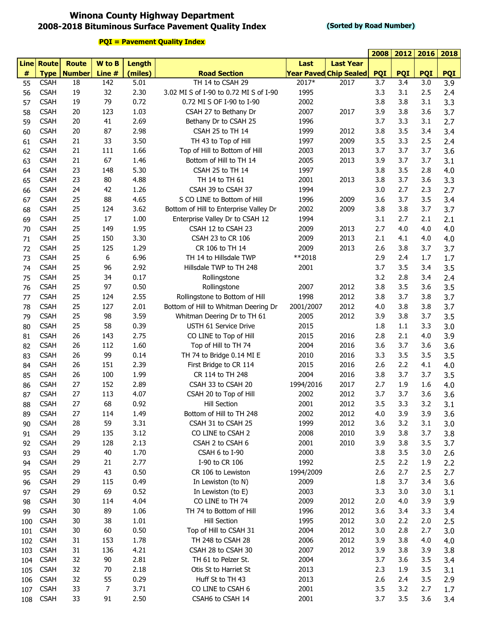## **Winona County Highway Department 2008-2018 Bituminous Surface Pavement Quality Index**

**2012 2016**

|     |                   |                      |        |         |                                        |              |                               | 2008       | 2012       | 2016       | 2018       |
|-----|-------------------|----------------------|--------|---------|----------------------------------------|--------------|-------------------------------|------------|------------|------------|------------|
|     | <b>Line Route</b> | <b>Route</b>         | W to B | Length  |                                        | Last         | <b>Last Year</b>              |            |            |            |            |
| #   |                   | <b>Type   Number</b> | Line # | (miles) | <b>Road Section</b>                    |              | <b>Year Paved Chip Sealed</b> | <b>PQI</b> | <b>PQI</b> | <b>PQI</b> | <b>PQI</b> |
| 55  | <b>CSAH</b>       | 18                   | 142    | 5.01    | TH 14 to CSAH 29                       | 2017*        | 2017                          | 3.7        | 3.4        | 3.0        | 3.9        |
| 56  | <b>CSAH</b>       | 19                   | 32     | 2.30    | 3.02 MI S of I-90 to 0.72 MI S of I-90 | 1995         |                               | 3.3        | 3.1        | 2.5        | 2.4        |
| 57  | <b>CSAH</b>       | 19                   | 79     | 0.72    | 0.72 MI S OF I-90 to I-90              | 2002         |                               | 3.8        | 3.8        | 3.1        | 3.3        |
| 58  | <b>CSAH</b>       | 20                   | 123    | 1.03    | CSAH 27 to Bethany Dr                  | 2007         | 2017                          | 3.9        | 3.8        | 3.6        | 3.7        |
| 59  | <b>CSAH</b>       | 20                   | 41     | 2.69    | Bethany Dr to CSAH 25                  | 1996         |                               | 3.7        | 3.3        | 3.1        | 2.7        |
| 60  | <b>CSAH</b>       | 20                   | 87     | 2.98    | CSAH 25 to TH 14                       | 1999         | 2012                          | 3.8        | 3.5        | 3.4        | 3.4        |
| 61  | <b>CSAH</b>       | 21                   | 33     | 3.50    | TH 43 to Top of Hill                   | 1997         | 2009                          | 3.5        | 3.3        | 2.5        | 2.4        |
| 62  | <b>CSAH</b>       | 21                   | 111    | 1.66    | Top of Hill to Bottom of Hill          | 2003         | 2013                          | 3.7        | 3.7        | 3.7        | 3.6        |
| 63  | <b>CSAH</b>       | 21                   | 67     | 1.46    | Bottom of Hill to TH 14                | 2005         | 2013                          | 3.9        | 3.7        | 3.7        | 3.1        |
| 64  | <b>CSAH</b>       | 23                   | 148    | 5.30    | CSAH 25 to TH 14                       | 1997         |                               | 3.8        | 3.5        | 2.8        | 4.0        |
| 65  | <b>CSAH</b>       | 23                   | 80     | 4.88    | TH 14 to TH 61                         | 2001         | 2013                          | 3.8        | 3.7        | 3.6        | 3.3        |
| 66  | <b>CSAH</b>       | 24                   | 42     | 1.26    | CSAH 39 to CSAH 37                     | 1994         |                               | 3.0        | 2.7        | 2.3        | 2.7        |
| 67  | <b>CSAH</b>       | 25                   | 88     | 4.65    | S CO LINE to Bottom of Hill            | 1996         | 2009                          | 3.6        | 3.7        | 3.5        | 3.4        |
| 68  | <b>CSAH</b>       | 25                   | 124    | 3.62    | Bottom of Hill to Enterprise Valley Dr | 2002         | 2009                          | 3.8        | 3.8        | 3.7        | 3.7        |
| 69  | <b>CSAH</b>       | 25                   | 17     | 1.00    | Enterprise Valley Dr to CSAH 12        | 1994         |                               | 3.1        | 2.7        | 2.1        | 2.1        |
| 70  | <b>CSAH</b>       | 25                   | 149    | 1.95    | CSAH 12 to CSAH 23                     | 2009         | 2013                          | 2.7        | 4.0        | 4.0        | 4.0        |
| 71  | <b>CSAH</b>       | 25                   | 150    | 3.30    | CSAH 23 to CR 106                      | 2009         | 2013                          | 2.1        | 4.1        | 4.0        | 4.0        |
| 72  | <b>CSAH</b>       | 25                   | 125    | 1.29    | CR 106 to TH 14                        | 2009         | 2013                          | 2.6        | 3.8        | 3.7        | 3.7        |
| 73  | <b>CSAH</b>       | 25                   | 6      | 6.96    | TH 14 to Hillsdale TWP                 | **2018       |                               | 2.9        | 2.4        | 1.7        | 1.7        |
| 74  | <b>CSAH</b>       | 25                   | 96     | 2.92    | Hillsdale TWP to TH 248                | 2001         |                               | 3.7        | 3.5        | 3.4        | 3.5        |
| 75  | <b>CSAH</b>       | 25                   | 34     | 0.17    | Rollingstone                           |              |                               | 3.2        | 2.8        | 3.4        | 2.4        |
| 76  | <b>CSAH</b>       | 25                   | 97     | 0.50    | Rollingstone                           | 2007         | 2012                          | 3.8        | 3.5        | 3.6        | 3.5        |
| 77  | <b>CSAH</b>       | 25                   | 124    | 2.55    | Rollingstone to Bottom of Hill         | 1998         | 2012                          | 3.8        | 3.7        | 3.8        | 3.7        |
| 78  | <b>CSAH</b>       | 25                   | 127    | 2.01    | Bottom of Hill to Whitman Deering Dr   | 2001/2007    | 2012                          | 4.0        | 3.8        | 3.8        | 3.7        |
| 79  | <b>CSAH</b>       | 25                   | 98     | 3.59    | Whitman Deering Dr to TH 61            | 2005         | 2012                          | 3.9        | 3.8        | 3.7        | 3.5        |
| 80  | <b>CSAH</b>       | 25                   | 58     | 0.39    | USTH 61 Service Drive                  | 2015         |                               | 1.8        | 1.1        | 3.3        | 3.0        |
| 81  | <b>CSAH</b>       | 26                   | 143    | 2.75    | CO LINE to Top of Hill                 | 2015         | 2016                          | 2.8        | 2.1        | 4.0        | 3.9        |
| 82  | <b>CSAH</b>       | 26                   | 112    | 1.60    | Top of Hill to TH 74                   | 2004         | 2016                          | 3.6        | 3.7        | 3.6        | 3.6        |
| 83  | <b>CSAH</b>       | 26                   | 99     | 0.14    | TH 74 to Bridge 0.14 MI E              | 2010         | 2016                          | 3.3        | 3.5        | 3.5        | 3.5        |
| 84  | <b>CSAH</b>       | 26                   | 151    | 2.39    | First Bridge to CR 114                 | 2015         | 2016                          | 2.6        | 2.2        | 4.1        | 4.0        |
|     | <b>CSAH</b>       | 26                   | 100    | 1.99    | CR 114 to TH 248                       | 2004         | 2016                          | 3.8        | 3.7        | 3.7        |            |
| 85  | <b>CSAH</b>       | 27                   | 152    | 2.89    | CSAH 33 to CSAH 20                     | 1994/2016    | 2017                          | 2.7        | 1.9        | 1.6        | 3.5        |
| 86  | <b>CSAH</b>       | 27                   | 113    | 4.07    | CSAH 20 to Top of Hill                 | 2002         | 2012                          | 3.7        | 3.7        | 3.6        | 4.0        |
| 87  |                   |                      |        |         |                                        |              |                               |            |            |            | 3.6        |
| 88  | <b>CSAH</b>       | 27                   | 68     | 0.92    | Hill Section                           | 2001<br>2002 | 2012                          | 3.5        | 3.3        | 3.2        | 3.1        |
| 89  | <b>CSAH</b>       | 27                   | 114    | 1.49    | Bottom of Hill to TH 248               |              | 2012                          | 4.0        | 3.9        | 3.9        | 3.6        |
| 90  | <b>CSAH</b>       | 28                   | 59     | 3.31    | CSAH 31 to CSAH 25                     | 1999         | 2012                          | 3.6        | 3.2        | 3.1        | 3.0        |
| 91  | <b>CSAH</b>       | 29                   | 135    | 3.12    | CO LINE to CSAH 2                      | 2008         | 2010                          | 3.9        | 3.8        | 3.7        | 3.8        |
| 92  | <b>CSAH</b>       | 29                   | 128    | 2.13    | CSAH 2 to CSAH 6                       | 2001         | 2010                          | 3.9        | 3.8        | 3.5        | 3.7        |
| 93  | <b>CSAH</b>       | 29                   | 40     | 1.70    | CSAH 6 to I-90                         | 2000         |                               | 3.8        | 3.5        | 3.0        | 2.6        |
| 94  | <b>CSAH</b>       | 29                   | 21     | 2.77    | I-90 to CR 106                         | 1992         |                               | 2.5        | 2.2        | 1.9        | 2.2        |
| 95  | <b>CSAH</b>       | 29                   | 43     | 0.50    | CR 106 to Lewiston                     | 1994/2009    |                               | 2.6        | 2.7        | 2.5        | 2.7        |
| 96  | <b>CSAH</b>       | 29                   | 115    | 0.49    | In Lewiston (to N)                     | 2009         |                               | 1.8        | 3.7        | 3.4        | 3.6        |
| 97  | <b>CSAH</b>       | 29                   | 69     | 0.52    | In Lewiston (to E)                     | 2003         |                               | 3.3        | 3.0        | 3.0        | 3.1        |
| 98  | <b>CSAH</b>       | 30                   | 114    | 4.04    | CO LINE to TH 74                       | 2009         | 2012                          | 2.0        | 4.0        | 3.9        | 3.9        |
| 99  | <b>CSAH</b>       | 30                   | 89     | 1.06    | TH 74 to Bottom of Hill                | 1996         | 2012                          | 3.6        | 3.4        | 3.3        | 3.4        |
| 100 | <b>CSAH</b>       | 30                   | 38     | 1.01    | <b>Hill Section</b>                    | 1995         | 2012                          | 3.0        | 2.2        | 2.0        | 2.5        |
| 101 | <b>CSAH</b>       | 30                   | 60     | 0.50    | Top of Hill to CSAH 31                 | 2004         | 2012                          | 3.0        | 2.8        | 2.7        | 3.0        |
| 102 | <b>CSAH</b>       | 31                   | 153    | 1.78    | TH 248 to CSAH 28                      | 2006         | 2012                          | 3.9        | 3.8        | 4.0        | 4.0        |
| 103 | <b>CSAH</b>       | 31                   | 136    | 4.21    | CSAH 28 to CSAH 30                     | 2007         | 2012                          | 3.9        | 3.8        | 3.9        | 3.8        |
| 104 | <b>CSAH</b>       | 32                   | 90     | 2.81    | TH 61 to Pelzer St.                    | 2004         |                               | 3.7        | 3.6        | 3.5        | 3.4        |
| 105 | <b>CSAH</b>       | 32                   | 70     | 2.18    | Otis St to Harriet St                  | 2013         |                               | 2.3        | 1.9        | 3.5        | 3.1        |
| 106 | <b>CSAH</b>       | 32                   | 55     | 0.29    | Huff St to TH 43                       | 2013         |                               | 2.6        | 2.4        | 3.5        | 2.9        |
| 107 | <b>CSAH</b>       | 33                   | 7      | 3.71    | CO LINE to CSAH 6                      | 2001         |                               | 3.5        | 3.2        | 2.7        | 1.7        |
| 108 | <b>CSAH</b>       | 33                   | 91     | 2.50    | CSAH6 to CSAH 14                       | 2001         |                               | 3.7        | 3.5        | 3.6        | 3.4        |